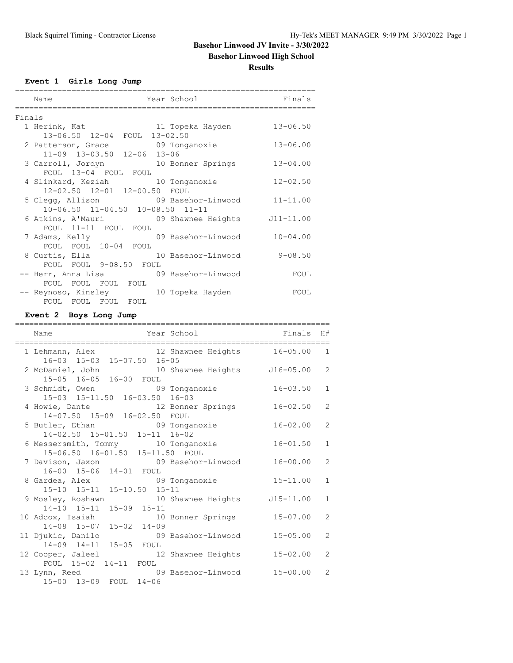# **Basehor Linwood High School**

**Results**

**Event 1 Girls Long Jump**

|        | Name                                                   | Year School        | Finals       |
|--------|--------------------------------------------------------|--------------------|--------------|
|        |                                                        |                    |              |
| Finals |                                                        |                    |              |
|        | 1 Herink, Kat                         11 Topeka Hayden |                    | $13 - 06.50$ |
|        | 13-06.50 12-04 FOUL 13-02.50                           |                    |              |
|        | 2 Patterson, Grace 69 Tonganoxie                       |                    | $13 - 06.00$ |
|        | 11-09 13-03.50 12-06 13-06                             |                    |              |
|        | 3 Carroll, Jordyn 10 Bonner Springs                    |                    | $13 - 04.00$ |
|        | FOUL 13-04 FOUL FOUL                                   |                    |              |
|        | 4 Slinkard, Keziah                                     | 10 Tonganoxie      | $12 - 02.50$ |
|        | 12-02.50 12-01 12-00.50 FOUL                           |                    |              |
|        | 5 Clegg, Allison 69 Basehor-Linwood                    |                    | $11 - 11.00$ |
|        | 10-06.50 11-04.50 10-08.50 11-11                       |                    |              |
|        | 6 Atkins, A'Mauri (1998) Shawnee Heights 111-11.00     |                    |              |
|        | FOUL 11-11 FOUL FOUL                                   |                    |              |
|        | 7 Adams, Kelly                                         | 09 Basehor-Linwood | $10 - 04.00$ |
|        | FOUL FOUL 10-04 FOUL                                   |                    |              |
|        | 8 Curtis, Ella                                         | 10 Basehor-Linwood | $9 - 08.50$  |
|        | FOUL FOUL 9-08.50 FOUL                                 |                    |              |
|        | -- Herr, Anna Lisa (19) Basehor-Linwood                |                    | FOUL         |
|        | FOUL FOUL FOUL FOUL                                    |                    |              |
|        | -- Reynoso, Kinsley 10 Topeka Hayden                   |                    | FOUL         |
|        | FOUL FOUL FOUL FOUL                                    |                    |              |

## **Event 2 Boys Long Jump**

| Name                                                                                            | Year School        | Finals        | H#             |
|-------------------------------------------------------------------------------------------------|--------------------|---------------|----------------|
| 1 Lehmann, Alex 12 Shawnee Heights 16-05.00 1<br>16-03 15-03 15-07.50 16-05                     |                    |               |                |
| 2 McDaniel, John 10 Shawnee Heights<br>15-05 16-05 16-00 FOUL                                   |                    | $J16 - 05.00$ | 2              |
| 3 Schmidt, Owen 09 Tonganoxie 16-03.50<br>15-03 15-11.50 16-03.50 16-03                         |                    |               | $\mathbf{1}$   |
| 4 Howie, Dante 12 Bonner Springs<br>14-07.50 15-09 16-02.50 FOUL                                |                    | $16 - 02.50$  | 2              |
| 5 Butler, Ethan 69 Tonganoxie<br>14-02.50 15-01.50 15-11 16-02                                  |                    | $16 - 02.00$  | $\overline{2}$ |
| 6 Messersmith, Tommy 10 Tonganoxie<br>15-06.50 16-01.50 15-11.50 FOUL                           |                    | $16 - 01.50$  | $\mathbf{1}$   |
| 7 Davison, Jaxon 69 Basehor-Linwood                                                             |                    | $16 - 00.00$  | 2              |
| 16-00 15-06 14-01 FOUL<br>8 Gardea, Alex 69 Tonganoxie 15-11.00<br>15-10 15-11 15-10.50 15-11   |                    |               | $\mathbf{1}$   |
| 9 Mosley, Roshawn 10 Shawnee Heights                                                            |                    | $J15 - 11.00$ | $\mathbf{1}$   |
| 14-10 15-11 15-09 15-11<br>10 Adcox, Isaiah 10 Bonner Springs                                   |                    | $15 - 07.00$  | 2              |
| 14-08 15-07 15-02 14-09<br>11 Djukic, Danilo                                                    | 09 Basehor-Linwood | $15 - 05.00$  | $\overline{2}$ |
| 14-09 14-11 15-05 FOUL<br>12 Cooper, Jaleel                                                     | 12 Shawnee Heights | $15 - 02.00$  | $\overline{c}$ |
| FOUL 15-02 14-11 FOUL<br>09 Basehor-Linwood 15-00.00<br>13 Lynn, Reed<br>15-00 13-09 FOUL 14-06 |                    |               | 2              |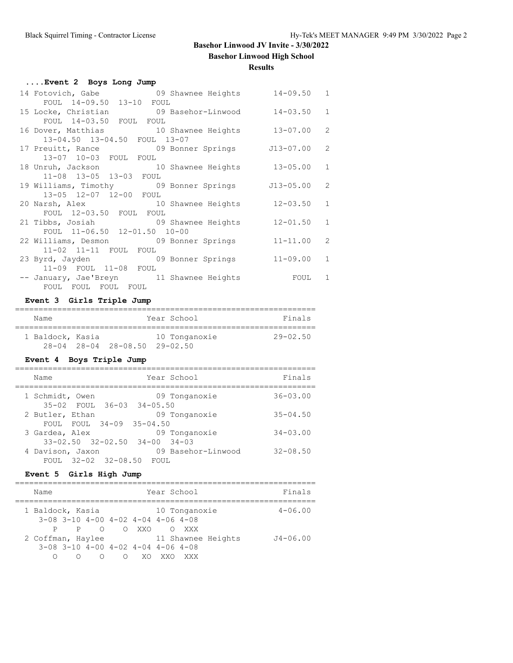**Basehor Linwood High School**

## **Results**

| Event 2 Boys Long Jump                              |               |              |
|-----------------------------------------------------|---------------|--------------|
| 14 Fotovich, Gabe 69 Shawnee Heights 14-09.50 1     |               |              |
| FOUL 14-09.50 13-10 FOUL                            |               |              |
| 15 Locke, Christian and 09 Basehor-Linwood 14-03.50 |               | $\mathbf{1}$ |
| FOUL 14-03.50 FOUL FOUL                             |               |              |
| 16 Dover, Matthias 10 Shawnee Heights 13-07.00      |               | 2            |
| 13-04.50 13-04.50 FOUL 13-07                        |               |              |
| 17 Preuitt, Rance 69 Bonner Springs 513-07.00       |               | 2            |
| 13-07 10-03 FOUL FOUL                               |               |              |
| 18 Unruh, Jackson 10 Shawnee Heights 13-05.00       |               | $\mathbf{1}$ |
| 11-08 13-05 13-03 FOUL                              |               |              |
| 19 Williams, Timothy 69 Bonner Springs              | $J13 - 05.00$ | 2            |
| 13-05 12-07 12-00 FOUL                              |               |              |
| 20 Narsh, Alex 10 Shawnee Heights 12-03.50          |               | $\mathbf{1}$ |
| FOUL 12-03.50 FOUL FOUL                             |               |              |
| 21 Tibbs, Josiah 69 Shawnee Heights                 | $12 - 01.50$  | $\mathbf{1}$ |
| FOUL 11-06.50 12-01.50 10-00                        |               |              |
| 22 Williams, Desmon 09 Bonner Springs               | $11 - 11.00$  | 2            |
| 11-02 11-11 FOUL FOUL                               |               |              |
| 23 Byrd, Jayden 69 Bonner Springs 11-09.00          |               | $\mathbf{1}$ |
|                                                     |               |              |
| 11-09 FOUL 11-08 FOUL                               |               |              |
| -- January, Jae'Breyn 11 Shawnee Heights            | FOUL          | $\mathbf{1}$ |
| FOUL FOUL FOUL FOUL                                 |               |              |

## **Event 3 Girls Triple Jump**

| Name             |                                    | Year School   | Finals       |
|------------------|------------------------------------|---------------|--------------|
| 1 Baldock, Kasia |                                    | 10 Tonganoxie | $29 - 02.50$ |
|                  | $28 - 04$ $28 - 04$ $28 - 08$ , 50 | 29-02.50      |              |

#### **Event 4 Boys Triple Jump**

| Year School<br>Name                                                              | Finals       |
|----------------------------------------------------------------------------------|--------------|
| 1 Schmidt, Owen<br>09 Tonganoxie<br>35-02 FOUL 36-03 34-05.50                    | $36 - 03.00$ |
| 09 Tonganoxie<br>2 Butler, Ethan<br>FOUL FOUL 34-09 35-04.50                     | $35 - 04.50$ |
| 09 Tonganoxie<br>3 Gardea, Alex<br>$33 - 02.50$ $32 - 02.50$ $34 - 00$ $34 - 03$ | $34 - 03.00$ |
| 09 Basehor-Linwood<br>4 Davison, Jaxon<br>FOUL 32-02 32-08.50 FOUL               | $32 - 08.50$ |
|                                                                                  |              |

## **Event 5 Girls High Jump**

| Name                                             |   |             |       |     | Year School |               |                    | Finals       |
|--------------------------------------------------|---|-------------|-------|-----|-------------|---------------|--------------------|--------------|
| 1 Baldock, Kasia                                 |   |             |       |     |             | 10 Tonganoxie |                    | $4 - 06.00$  |
| $3-08$ $3-10$ $4-00$ $4-02$ $4-04$ $4-06$ $4-08$ |   |             |       |     |             |               |                    |              |
| P.                                               |   | $\cap$<br>P | O XXO |     |             | O XXX         |                    |              |
| 2 Coffman, Haylee                                |   |             |       |     |             |               | 11 Shawnee Heights | $J4 - 06.00$ |
| $3-08$ $3-10$ $4-00$ $4-02$ $4-04$ $4-06$ $4-08$ |   |             |       |     |             |               |                    |              |
|                                                  | ∩ |             | ∩     | XO. |             | XXX           |                    |              |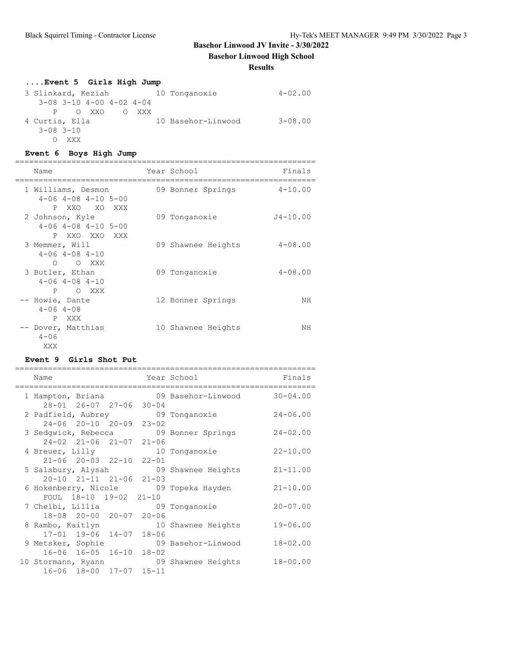**Basehor Linwood High School**

## **Results**

| Event 5 Girls High Jump            |                    |             |
|------------------------------------|--------------------|-------------|
| 3 Slinkard, Keziah 10 Tonganoxie   |                    | $4 - 02.00$ |
| $3-08$ $3-10$ $4-00$ $4-02$ $4-04$ |                    |             |
| P OXXO<br>O XXX                    |                    |             |
| 4 Curtis, Ella                     | 10 Basehor-Linwood | $3 - 08.00$ |
| $3 - 08$ $3 - 10$                  |                    |             |
| XXX                                |                    |             |

## **Event 6 Boys High Jump**

| Name                                                               | Year School        | Finals       |
|--------------------------------------------------------------------|--------------------|--------------|
| 1 Williams, Desmon<br>$4-06$ $4-08$ $4-10$ $5-00$                  | 09 Bonner Springs  | $4 - 10.00$  |
| P XXO XO XXX<br>2 Johnson, Kyle<br>$4-06$ $4-08$ $4-10$ $5-00$     | 09 Tonganoxie      | $J4 - 10.00$ |
| P XXO XXO XXX<br>3 Memmer, Will<br>$4 - 06$ $4 - 08$ $4 - 10$      | 09 Shawnee Heights | $4 - 08.00$  |
| O XXX<br>$\Omega$<br>3 Butler, Ethan<br>$4 - 06$ $4 - 08$ $4 - 10$ | 09 Tonganoxie      | $4 - 08.00$  |
| O XXX<br>P<br>-- Howie, Dante<br>$4 - 06$ $4 - 08$                 | 12 Bonner Springs  | NΗ           |
| XXX<br>P<br>-- Dover, Matthias<br>$4 - 06$<br>XXX                  | 10 Shawnee Heights | NΗ           |

## **Event 9 Girls Shot Put**

| Name               |                                         |  | Year School                           | Finals       |
|--------------------|-----------------------------------------|--|---------------------------------------|--------------|
| 1 Hampton, Briana  |                                         |  | 09 Basehor-Linwood                    | $30 - 04.00$ |
|                    | $28 - 01$ $26 - 07$ $27 - 06$ $30 - 04$ |  |                                       |              |
|                    |                                         |  | 2 Padfield, Aubrey 69 Tonganoxie      | $24 - 06.00$ |
|                    | 24-06 20-10 20-09 23-02                 |  |                                       |              |
|                    |                                         |  | 3 Sedgwick, Rebecca 69 Bonner Springs | $24 - 02.00$ |
|                    | 24-02 21-06 21-07 21-06                 |  |                                       |              |
| 4 Breuer, Lilly    |                                         |  | 10 Tonganoxie                         | $22 - 10.00$ |
|                    | 21-06 20-03 22-10 22-01                 |  |                                       |              |
| 5 Salsbury, Alysah |                                         |  | 09 Shawnee Heights                    | $21 - 11.00$ |
|                    | $20-10$ $21-11$ $21-06$ $21-03$         |  |                                       |              |
|                    |                                         |  | 6 Hokenberry, Nicole 69 Topeka Hayden | $21 - 10.00$ |
|                    | FOUL 18-10 19-02 21-10                  |  |                                       |              |
|                    |                                         |  | 7 Chelbi, Lillia 69 Tonganoxie        | $20 - 07.00$ |
|                    | 18-08 20-00 20-07 20-06                 |  |                                       |              |
| 8 Rambo, Kaitlyn   |                                         |  | 10 Shawnee Heights                    | $19 - 06.00$ |
|                    | 17-01 19-06 14-07 18-06                 |  |                                       |              |
|                    |                                         |  | 9 Metsker, Sophie 69 Basehor-Linwood  | $18 - 02.00$ |
|                    | 16-06 16-05 16-10 18-02                 |  |                                       |              |
|                    |                                         |  | 10 Stormann, Ryann 69 Shawnee Heights | $18 - 00.00$ |
|                    | 16-06 18-00 17-07 15-11                 |  |                                       |              |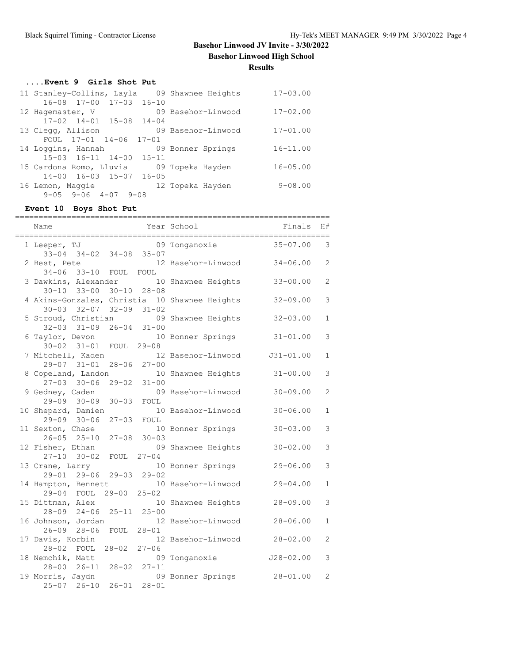**Basehor Linwood High School**

**Results**

## **....Event 9 Girls Shot Put**

| 11 Stanley-Collins, Layla                  | 09 Shawnee Heights | $17 - 03.00$ |
|--------------------------------------------|--------------------|--------------|
| $16 - 08$ $17 - 00$ $17 - 03$ $16 - 10$    |                    |              |
| 12 Hagemaster, V                           | 09 Basehor-Linwood | $17 - 02.00$ |
| $17 - 02$ $14 - 01$ $15 - 08$ $14 - 04$    |                    |              |
| 13 Clegg, Allison                          | 09 Basehor-Linwood | $17 - 01.00$ |
| FOUL 17-01 14-06 17-01                     |                    |              |
| 14 Loggins, Hannah                         | 09 Bonner Springs  | $16 - 11.00$ |
| $15 - 03$ $16 - 11$ $14 - 00$<br>$15 - 11$ |                    |              |
| 15 Cardona Romo, Lluvia                    | 09 Topeka Hayden   | $16 - 05.00$ |
| $14 - 00$ $16 - 03$ $15 - 07$ $16 - 05$    |                    |              |
| 16 Lemon, Maggie                           | 12 Topeka Hayden   | $9 - 08.00$  |
| $9 - 05$ $9 - 06$ $4 - 07$<br>$9 - 08$     |                    |              |

# **Event 10 Boys Shot Put**

| Name                                                                      |                                  | Year School        | Finals        | H#             |
|---------------------------------------------------------------------------|----------------------------------|--------------------|---------------|----------------|
| 1 Leeper, TJ<br>$33 - 04$ $34 - 02$                                       | $34 - 08$ 35-07                  | 09 Tonganoxie      | $35 - 07.00$  | 3              |
| 2 Best, Pete<br>$34 - 06$ $33 - 10$<br>FOUL FOUL                          |                                  | 12 Basehor-Linwood | $34 - 06.00$  | $\overline{2}$ |
| 3 Dawkins, Alexander<br>$30 - 10$<br>$33 - 00$<br>$30 - 10$               | $28 - 08$                        | 10 Shawnee Heights | $33 - 00.00$  | $\overline{2}$ |
| 4 Akins-Gonzales, Christia 10 Shawnee Heights<br>$32 - 09$                | $31 - 02$                        |                    | $32 - 09.00$  | 3              |
| $30 - 03$ $32 - 07$<br>5 Stroud, Christian<br>$32 - 03$ $31 - 09$         | $26 - 04$ 31-00                  | 09 Shawnee Heights | $32 - 03.00$  | 1              |
| 6 Taylor, Devon                                                           |                                  | 10 Bonner Springs  | $31 - 01.00$  | 3              |
| $30 - 02$ $31 - 01$<br>FOUL<br>7 Mitchell, Kaden<br>$28 - 06$             | $29 - 08$<br>$27 - 00$           | 12 Basehor-Linwood | $J31 - 01.00$ | 1              |
| $29 - 07$ $31 - 01$<br>8 Copeland, Landon<br>$27 - 03$ 30-06<br>$29 - 02$ | $31 - 00$                        | 10 Shawnee Heights | $31 - 00.00$  | 3              |
| 9 Gedney, Caden                                                           |                                  | 09 Basehor-Linwood | $30 - 09.00$  | $\overline{2}$ |
| $29 - 09$ $30 - 09$<br>$30 - 03$<br>10 Shepard, Damien                    | FOUL                             | 10 Basehor-Linwood | $30 - 06.00$  | $\mathbf{1}$   |
| $29 - 09$ $30 - 06$<br>$27 - 03$<br>11 Sexton, Chase                      | FOUL<br>$30 - 03$                | 10 Bonner Springs  | $30 - 03.00$  | 3              |
| $26 - 05$ $25 - 10$<br>$27 - 08$<br>12 Fisher, Ethan                      | $27 - 04$                        | 09 Shawnee Heights | $30 - 02.00$  | 3              |
| $27 - 10$<br>$30 - 02$<br>FOUL<br>13 Crane, Larry                         |                                  | 10 Bonner Springs  | $29 - 06.00$  | 3              |
| 29-01 29-06 29-03 29-02<br>14 Hampton, Bennett                            |                                  | 10 Basehor-Linwood | $29 - 04.00$  | 1              |
| $29 - 00$ $25 - 02$<br>29-04 FOUL<br>15 Dittman, Alex                     |                                  | 10 Shawnee Heights | $28 - 09.00$  | 3              |
| $28 - 09$ $24 - 06$<br>16 Johnson, Jordan                                 | $25 - 11$ $25 - 00$              | 12 Basehor-Linwood | $28 - 06.00$  | $\mathbf{1}$   |
| $26 - 09$<br>$28 - 06$<br>17 Davis, Korbin                                | FOUL 28-01                       | 12 Basehor-Linwood | $28 - 02.00$  | $\mathcal{L}$  |
| 28-02 FOUL 28-02 27-06<br>18 Nemchik, Matt                                |                                  | 09 Tonganoxie      | $J28 - 02.00$ | 3              |
| 28-00 26-11<br>19 Morris, Jaydn<br>$26 - 10$<br>$26 - 01$<br>$25 - 07$    | $28 - 02$ $27 - 11$<br>$28 - 01$ | 09 Bonner Springs  | $28 - 01.00$  | 2              |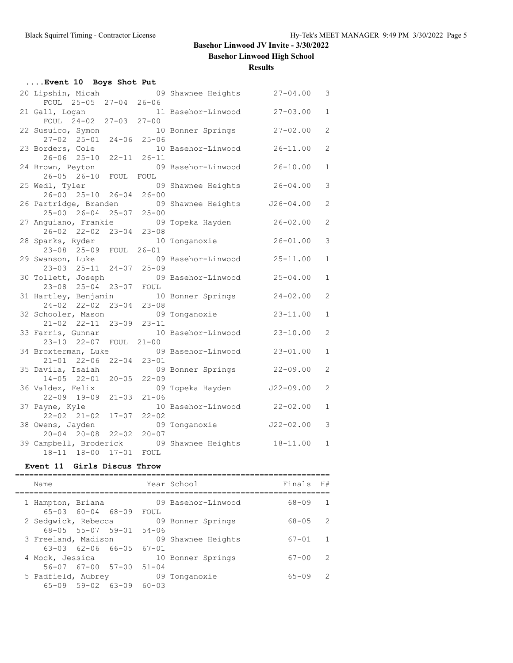**Basehor Linwood High School**

**Results**

| Event 10 Boys Shot Put                               |                     |                    |               |                |  |  |  |
|------------------------------------------------------|---------------------|--------------------|---------------|----------------|--|--|--|
| 20 Lipshin, Micah                                    |                     | 09 Shawnee Heights | $27 - 04.00$  | 3              |  |  |  |
| FOUL 25-05 27-04 26-06                               |                     |                    |               |                |  |  |  |
| 21 Gall, Logan                                       |                     | 11 Basehor-Linwood | $27 - 03.00$  | $\mathbf{1}$   |  |  |  |
| FOUL 24-02 27-03 27-00                               |                     |                    | $27 - 02.00$  | $\overline{2}$ |  |  |  |
| 22 Susuico, Symon<br>$27-02$ $25-01$ $24-06$ $25-06$ |                     | 10 Bonner Springs  |               |                |  |  |  |
| 23 Borders, Cole                                     |                     | 10 Basehor-Linwood | $26 - 11.00$  | $\overline{2}$ |  |  |  |
| $26 - 06$ $25 - 10$                                  | $22 - 11$ $26 - 11$ |                    |               |                |  |  |  |
| 24 Brown, Peyton                                     |                     | 09 Basehor-Linwood | $26 - 10.00$  | $\mathbf{1}$   |  |  |  |
| $26 - 05$ $26 - 10$<br>FOUL FOUL                     |                     |                    |               |                |  |  |  |
| 25 Wedl, Tyler                                       |                     | 09 Shawnee Heights | $26 - 04.00$  | 3              |  |  |  |
| $26 - 00$ $25 - 10$                                  | $26 - 04$ 26-00     |                    |               |                |  |  |  |
| 26 Partridge, Branden                                |                     | 09 Shawnee Heights | $J26 - 04.00$ | $\overline{2}$ |  |  |  |
| $25 - 00$ $26 - 04$                                  | $25 - 07$ $25 - 00$ |                    |               |                |  |  |  |
| 27 Anguiano, Frankie 199 Topeka Hayden               |                     |                    | $26 - 02.00$  | $\overline{2}$ |  |  |  |
| 26-02 22-02 23-04 23-08                              |                     |                    |               |                |  |  |  |
| 28 Sparks, Ryder                                     |                     | 10 Tonganoxie      | $26 - 01.00$  | 3              |  |  |  |
| 23-08 25-09                                          | FOUL 26-01          | 09 Basehor-Linwood | $25 - 11.00$  | $\mathbf{1}$   |  |  |  |
| 29 Swanson, Luke<br>23-03 25-11 24-07 25-09          |                     |                    |               |                |  |  |  |
| 30 Tollett, Joseph                                   |                     | 09 Basehor-Linwood | $25 - 04.00$  | $\mathbf{1}$   |  |  |  |
| 23-08 25-04 23-07 FOUL                               |                     |                    |               |                |  |  |  |
| 31 Hartley, Benjamin                                 |                     | 10 Bonner Springs  | $24 - 02.00$  | $\overline{2}$ |  |  |  |
| $24 - 02$ $22 - 02$                                  | $23 - 04$ $23 - 08$ |                    |               |                |  |  |  |
| 32 Schooler, Mason                                   |                     | 09 Tonganoxie      | $23 - 11.00$  | $\mathbf 1$    |  |  |  |
| 21-02 22-11 23-09 23-11                              |                     |                    |               |                |  |  |  |
| 33 Farris, Gunnar                                    |                     | 10 Basehor-Linwood | $23 - 10.00$  | 2              |  |  |  |
| $23 - 10$ $22 - 07$                                  | $FOUL$ 21-00        |                    |               |                |  |  |  |
| 34 Broxterman, Luke 09 Basehor-Linwood               |                     |                    | $23 - 01.00$  | $\mathbf 1$    |  |  |  |
| $21 - 01$ $22 - 06$<br>$22 - 04$                     | $23 - 01$           |                    |               |                |  |  |  |
| 35 Davila, Isaiah                                    |                     | 09 Bonner Springs  | $22 - 09.00$  | $\overline{2}$ |  |  |  |
| $14 - 05$ $22 - 01$<br>$20 - 05$<br>36 Valdez, Felix | $22 - 09$           |                    | $J22 - 09.00$ | $\overline{2}$ |  |  |  |
| $22 - 09$ $19 - 09$<br>$21 - 03$                     | $21 - 06$           | 09 Topeka Hayden   |               |                |  |  |  |
| 37 Payne, Kyle                                       |                     | 10 Basehor-Linwood | $22 - 02.00$  | $\mathbf{1}$   |  |  |  |
| $22 - 02$ $21 - 02$<br>$17 - 07$                     | $22 - 02$           |                    |               |                |  |  |  |
| 38 Owens, Jayden                                     |                     | 09 Tonganoxie      | $J22 - 02.00$ | 3              |  |  |  |
| $20 - 04$ 20-08<br>$22 - 02$                         | $20 - 07$           |                    |               |                |  |  |  |
| 39 Campbell, Broderick 09 Shawnee Heights 18-11.00   |                     |                    |               | 1              |  |  |  |
| 18-11 18-00<br>$17 - 01$                             | ${\tt FOUL}$        |                    |               |                |  |  |  |

### **Event 11 Girls Discus Throw**

| Name                                      |                                 |           |           | Year School        | Finals    | H#            |
|-------------------------------------------|---------------------------------|-----------|-----------|--------------------|-----------|---------------|
| 1 Hampton, Briana                         | $65 - 03$ $60 - 04$ $68 - 09$   |           | FOUL      | 09 Basehor-Linwood | 68-09     | $\mathbf{1}$  |
| 2 Sedqwick, Rebecca                       |                                 |           |           | 09 Bonner Springs  | $68 - 05$ | 2             |
| 3 Freeland, Madison                       | 68-05 55-07 59-01               |           | $54 - 06$ | 09 Shawnee Heights | $67 - 01$ | $\mathbf{1}$  |
| 4 Mock, Jessica                           | $63 - 03$ $62 - 06$ $66 - 05$   |           | $67 - 01$ | 10 Bonner Springs  | $67 - 00$ | $\mathcal{P}$ |
| $56 - 07$ $67 - 00$<br>5 Padfield, Aubrey |                                 | $57 - 00$ | $51 - 04$ | 09 Tonganoxie      | $65 - 09$ | $\mathcal{P}$ |
|                                           | $65-09$ $59-02$ $63-09$ $60-03$ |           |           |                    |           |               |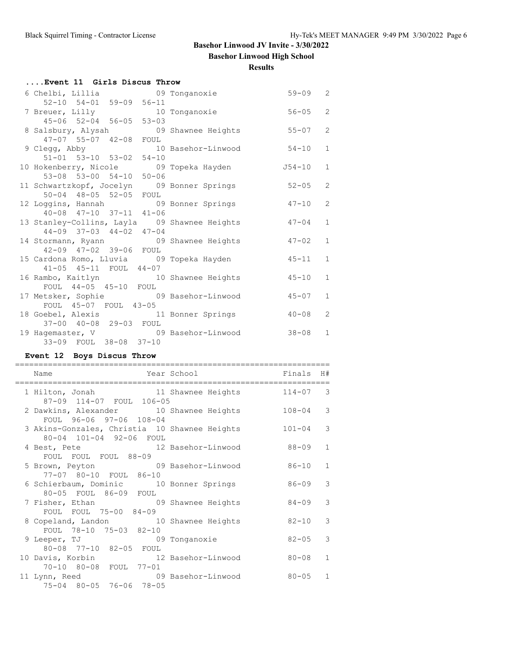**Basehor Linwood High School**

**Results**

| Event 11 Girls Discus Throw                  |                                               |                |  |  |  |  |
|----------------------------------------------|-----------------------------------------------|----------------|--|--|--|--|
| 6 Chelbi, Lillia 69 Tonganoxie               | $59 - 09$ 2                                   |                |  |  |  |  |
| 52-10 54-01 59-09 56-11                      |                                               |                |  |  |  |  |
| 7 Breuer, Lilly 10 Tonganoxie                | $56 - 05$                                     | $\overline{2}$ |  |  |  |  |
| 45-06 52-04 56-05 53-03                      |                                               |                |  |  |  |  |
| 8 Salsbury, Alysah 69 Shawnee Heights        | $55 - 07$                                     | $\overline{2}$ |  |  |  |  |
| 47-07 55-07 42-08 FOUL                       |                                               |                |  |  |  |  |
| 9 Clegg, Abby 10 Basehor-Linwood             | $54 - 10$                                     | $\mathbf{1}$   |  |  |  |  |
| 51-01 53-10 53-02 54-10                      |                                               |                |  |  |  |  |
|                                              | 10 Hokenberry, Nicole 69 Topeka Hayden 554-10 | $\mathbf{1}$   |  |  |  |  |
| 53-08 53-00 54-10 50-06                      |                                               |                |  |  |  |  |
| 11 Schwartzkopf, Jocelyn 09 Bonner Springs   | $52 - 05$                                     | 2              |  |  |  |  |
| 50-04 48-05 52-05 FOUL                       |                                               |                |  |  |  |  |
| 12 Loggins, Hannah 19 Bonner Springs         | $47 - 10$                                     | $\overline{2}$ |  |  |  |  |
| 40-08 47-10 37-11 41-06                      |                                               |                |  |  |  |  |
| 13 Stanley-Collins, Layla 09 Shawnee Heights | $47 - 04$                                     | $\mathbf{1}$   |  |  |  |  |
| 44-09 37-03 44-02 47-04                      |                                               |                |  |  |  |  |
| 14 Stormann, Ryann 69 Shawnee Heights        | $47 - 02$                                     | $\mathbf{1}$   |  |  |  |  |
| 42-09 47-02 39-06 FOUL                       |                                               |                |  |  |  |  |
| 15 Cardona Romo, Lluvia 609 Topeka Hayden    | $45 - 11$                                     | $\mathbf{1}$   |  |  |  |  |
| 41-05 45-11 FOUL 44-07                       |                                               |                |  |  |  |  |
| 16 Rambo, Kaitlyn 10 Shawnee Heights         | 45-10                                         | $\mathbf{1}$   |  |  |  |  |
| FOUL 44-05 45-10 FOUL                        |                                               |                |  |  |  |  |
| 17 Metsker, Sophie 69 Basehor-Linwood        | $45 - 07$                                     | $\mathbf{1}$   |  |  |  |  |
| FOUL 45-07 FOUL 43-05                        |                                               |                |  |  |  |  |
| 18 Goebel, Alexis 11 Bonner Springs          | $40 - 08$                                     | 2              |  |  |  |  |
| 37-00 40-08 29-03 FOUL                       |                                               |                |  |  |  |  |
| 19 Hagemaster, V 69 Basehor-Linwood          | $38 - 08$                                     | 1              |  |  |  |  |
| 33-09 FOUL 38-08 37-10                       |                                               |                |  |  |  |  |

## **Event 12 Boys Discus Throw**

| Name                                                                     | Year School | Finals     | H#           |
|--------------------------------------------------------------------------|-------------|------------|--------------|
| 1 Hilton, Jonah 11 Shawnee Heights 114-07 3<br>87-09 114-07 FOUL 106-05  |             |            |              |
| 2 Dawkins, Alexander 10 Shawnee Heights<br>FOUL 96-06 97-06 108-04       |             | $108 - 04$ | 3            |
| 3 Akins-Gonzales, Christia 10 Shawnee Heights<br>80-04 101-04 92-06 FOUL |             | $101 - 04$ | 3            |
| 4 Best, Pete 12 Basehor-Linwood<br>FOUL FOUL FOUL 88-09                  |             | 88-09      | $\mathbf{1}$ |
| 5 Brown, Peyton 69 Basehor-Linwood<br>77-07 80-10 FOUL 86-10             |             | $86 - 10$  | $\mathbf{1}$ |
| 6 Schierbaum, Dominic 10 Bonner Springs<br>80-05 FOUL 86-09 FOUL         |             | 86-09      | 3            |
| 7 Fisher, Ethan 09 Shawnee Heights<br>FOUL FOUL 75-00 84-09              |             | $84 - 09$  | 3            |
| 8 Copeland, Landon 10 Shawnee Heights<br>FOUL 78-10 75-03 82-10          |             | $82 - 10$  | 3            |
| 9 Leeper, TJ 09 Tonganoxie<br>80-08 77-10 82-05 FOUL                     |             | $82 - 05$  | 3            |
| 10 Davis, Korbin 12 Basehor-Linwood<br>70-10 80-08 FOUL 77-01            |             | $80 - 08$  | $\mathbf{1}$ |
| 11 Lynn, Reed 69 Basehor-Linwood<br>75-04 80-05 76-06 78-05              |             | $80 - 05$  | $\mathbf{1}$ |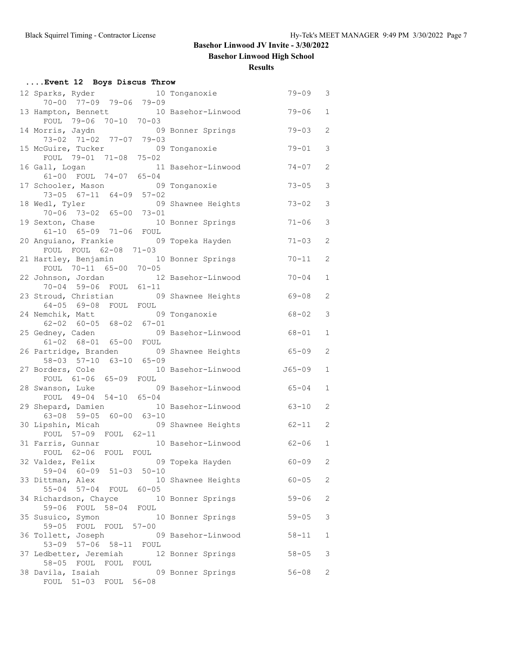**Basehor Linwood High School**

**Results**

| Event 12 Boys Discus Throw                                          |  |                    |           |                |  |  |  |
|---------------------------------------------------------------------|--|--------------------|-----------|----------------|--|--|--|
| 12 Sparks, Ryder 10 Tonganoxie<br>70-00 77-09 79-06 79-09           |  |                    | $79 - 09$ | 3              |  |  |  |
| 13 Hampton, Bennett 10 Basehor-Linwood<br>FOUL 79-06 70-10 70-03    |  |                    | $79 - 06$ | 1              |  |  |  |
| 14 Morris, Jaydn 69 Bonner Springs<br>73-02 71-02 77-07 79-03       |  |                    | $79 - 03$ | 2              |  |  |  |
| 15 McGuire, Tucker 69 Tonganoxie<br>FOUL 79-01 71-08 75-02          |  |                    | $79 - 01$ | 3              |  |  |  |
| 16 Gall, Logan 11 Basehor-Linwood<br>61-00 FOUL 74-07 65-04         |  |                    | $74 - 07$ | 2              |  |  |  |
| 17 Schooler, Mason 69 Tonganoxie<br>73-05 67-11 64-09 57-02         |  |                    | $73 - 05$ | 3              |  |  |  |
| 18 Wedl, Tyler<br>$70-06$ $73-02$ $65-00$ $73-01$                   |  | 09 Shawnee Heights | $73 - 02$ | 3              |  |  |  |
| 19 Sexton, Chase<br>61-10 65-09 71-06 FOUL                          |  | 10 Bonner Springs  | $71 - 06$ | 3              |  |  |  |
| 20 Anguiano, Frankie 69 Topeka Hayden<br>FOUL FOUL 62-08 71-03      |  |                    | $71 - 03$ | 2              |  |  |  |
| 21 Hartley, Benjamin 10 Bonner Springs<br>FOUL 70-11 65-00 70-05    |  |                    | $70 - 11$ | 2              |  |  |  |
| 22 Johnson, Jordan 12 Basehor-Linwood<br>70-04 59-06 FOUL 61-11     |  |                    | $70 - 04$ | 1              |  |  |  |
| 23 Stroud, Christian 09 Shawnee Heights<br>64-05 69-08 FOUL FOUL    |  |                    | 69-08     | $\overline{2}$ |  |  |  |
| 24 Nemchik, Matt 69 Tonganoxie<br>$62-02$ $60-05$ $68-02$ $67-01$   |  |                    | $68 - 02$ | 3              |  |  |  |
| 25 Gedney, Caden<br>61-02 68-01 65-00 FOUL                          |  | 09 Basehor-Linwood | 68-01     | 1              |  |  |  |
| 26 Partridge, Branden 19 Shawnee Heights<br>58-03 57-10 63-10 65-09 |  |                    | $65 - 09$ | $\overline{2}$ |  |  |  |
| 27 Borders, Cole 10 Basehor-Linwood 565-09<br>FOUL 61-06 65-09 FOUL |  |                    |           | 1              |  |  |  |
| 28 Swanson, Luke 09 Basehor-Linwood<br>FOUL 49-04 54-10 65-04       |  |                    | $65 - 04$ | 1              |  |  |  |
| 29 Shepard, Damien 10 Basehor-Linwood<br>$63-08$ 59-05 60-00 63-10  |  |                    | 63-10     | $\overline{2}$ |  |  |  |
| 30 Lipshin, Micah 69 Shawnee Heights                                |  |                    | $62 - 11$ | 2              |  |  |  |
| FOUL 57-09 FOUL 62-11<br>31 Farris, Gunnar 10 Basehor-Linwood 62-06 |  |                    |           | $\mathbf{1}$   |  |  |  |
| FOUL 62-06 FOUL FOUL<br>32 Valdez, Felix                            |  | 09 Topeka Hayden   | $60 - 09$ | 2              |  |  |  |
| 59-04 60-09 51-03 50-10<br>33 Dittman, Alex                         |  | 10 Shawnee Heights | $60 - 05$ | 2              |  |  |  |
| 55-04 57-04 FOUL 60-05<br>34 Richardson, Chayce                     |  | 10 Bonner Springs  | $59 - 06$ | 2              |  |  |  |
| 59-06 FOUL<br>58-04 FOUL<br>35 Susuico, Symon                       |  | 10 Bonner Springs  | $59 - 05$ | 3              |  |  |  |
| 59-05 FOUL FOUL 57-00<br>36 Tollett, Joseph                         |  | 09 Basehor-Linwood | $58 - 11$ | 1              |  |  |  |
| 53-09 57-06 58-11 FOUL<br>37 Ledbetter, Jeremiah 12 Bonner Springs  |  |                    | $58 - 05$ | 3              |  |  |  |
| 58-05 FOUL FOUL FOUL<br>38 Davila, Isaiah<br>FOUL 51-03 FOUL 56-08  |  | 09 Bonner Springs  | $56 - 08$ | 2              |  |  |  |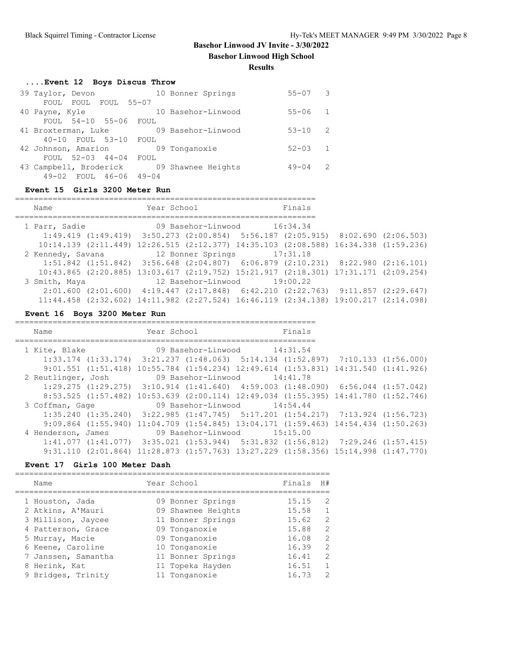**Basehor Linwood High School**

**Results**

| 39 Taylor, Devon                          | 10 Bonner Springs  | $55 - 07$   | $\mathcal{R}$  |
|-------------------------------------------|--------------------|-------------|----------------|
| FOUL FOUL FOUL 55-07                      |                    |             |                |
| 40 Payne, Kyle                            | 10 Basehor-Linwood | $55 - 06$ 1 |                |
| FOUL 54-10 55-06 FOUL                     |                    |             |                |
| 41 Broxterman, Luke                       | 09 Basehor-Linwood | $53 - 10$   | $\overline{2}$ |
| 40-10 FOUL 53-10 FOUL                     |                    |             |                |
| 42 Johnson, Amarion                       | 09 Tonganoxie      | $52 - 03$   | $\overline{1}$ |
| FOUL 52-03 44-04 FOUL                     |                    |             |                |
| 43 Campbell, Broderick 09 Shawnee Heights |                    | $49 - 04$   | - 2            |
| 49-02 FOUL 46-06 49-04                    |                    |             |                |

#### **Event 15 Girls 3200 Meter Run**

================================================================

| Name                                         | Year School                                                                                         |                             | Finals |  |
|----------------------------------------------|-----------------------------------------------------------------------------------------------------|-----------------------------|--------|--|
| 1 Parr, Sadie                                | 09 Basehor-Linwood 16:34.34                                                                         |                             |        |  |
|                                              | $1:49.419$ $(1:49.419)$ $3:50.273$ $(2:00.854)$ $5:56.187$ $(2:05.915)$ $8:02.690$ $(2:06.503)$     |                             |        |  |
|                                              | $10:14.139$ $(2:11.449)$ $12:26.515$ $(2:12.377)$ $14:35.103$ $(2:08.588)$ $16:34.338$ $(1:59.236)$ |                             |        |  |
| 2 Kennedy, Savana 12 Bonner Springs 17:31.18 |                                                                                                     |                             |        |  |
|                                              | $1:51.842$ $(1:51.842)$ $3:56.648$ $(2:04.807)$ $6:06.879$ $(2:10.231)$ $8:22.980$ $(2:16.101)$     |                             |        |  |
|                                              | 10:43.865 (2:20.885) 13:03.617 (2:19.752) 15:21.917 (2:18.301) 17:31.171 (2:09.254)                 |                             |        |  |
| 3 Smith, Maya                                |                                                                                                     | 12 Basehor-Linwood 19:00.22 |        |  |
|                                              | $2:01.600$ $(2:01.600)$ $4:19.447$ $(2:17.848)$ $6:42.210$ $(2:22.763)$ $9:11.857$ $(2:29.647)$     |                             |        |  |
|                                              | 11:44.458 (2:32.602) 14:11.982 (2:27.524) 16:46.119 (2:34.138) 19:00.217 (2:14.098)                 |                             |        |  |

================================================================

## **Event 16 Boys 3200 Meter Run**

| Name                    | Year School in the School and the School and School | Finals                                                                                             |  |
|-------------------------|-----------------------------------------------------|----------------------------------------------------------------------------------------------------|--|
| 1 Kite, Blake           | 09 Basehor-Linwood 14:31.54                         |                                                                                                    |  |
|                         |                                                     | $1:33.174$ $(1:33.174)$ $3:21.237$ $(1:48.063)$ $5:14.134$ $(1:52.897)$ $7:10.133$ $(1:56.000)$    |  |
|                         |                                                     | $9:01.551$ $(1:51.418)$ $10:55.784$ $(1:54.234)$ $12:49.614$ $(1:53.831)$ $14:31.540$ $(1:41.926)$ |  |
| 2 Reutlinger, Josh      | 09 Basehor-Linwood 14:41.78                         |                                                                                                    |  |
|                         |                                                     | $1:29.275$ $(1:29.275)$ $3:10.914$ $(1:41.640)$ $4:59.003$ $(1:48.090)$ $6:56.044$ $(1:57.042)$    |  |
|                         |                                                     | 8:53.525 (1:57.482) 10:53.639 (2:00.114) 12:49.034 (1:55.395) 14:41.780 (1:52.746)                 |  |
| 3 Coffman, Gage         |                                                     | 09 Basehor-Linwood 14:54.44                                                                        |  |
|                         |                                                     | $1:35.240$ $(1:35.240)$ $3:22.985$ $(1:47.745)$ $5:17.201$ $(1:54.217)$ $7:13.924$ $(1:56.723)$    |  |
| $9:09.864$ $(1:55.940)$ |                                                     | $11:04.709$ $(1:54.845)$ $13:04.171$ $(1:59.463)$ $14:54.434$ $(1:50.263)$                         |  |
| 4 Henderson, James      | 09 Basehor-Linwood 15:15.00                         |                                                                                                    |  |
|                         |                                                     | $1:41.077$ $(1:41.077)$ $3:35.021$ $(1:53.944)$ $5:31.832$ $(1:56.812)$ $7:29.246$ $(1:57.415)$    |  |
|                         |                                                     | $9:31.110$ (2:01.864) 11:28.873 (1:57.763) 13:27.229 (1:58.356) 15:14.998 (1:47.770)               |  |

# **Event 17 Girls 100 Meter Dash**

| Name                                                                                                                     | Year School                                                                                                     | Finals                                             | H#                                                                          |
|--------------------------------------------------------------------------------------------------------------------------|-----------------------------------------------------------------------------------------------------------------|----------------------------------------------------|-----------------------------------------------------------------------------|
| 1 Houston, Jada<br>2 Atkins, A'Mauri<br>3 Millison, Jaycee<br>4 Patterson, Grace<br>5 Murray, Macie<br>6 Keene, Caroline | 09 Bonner Springs<br>09 Shawnee Heights<br>11 Bonner Springs<br>09 Tonganoxie<br>09 Tonganoxie<br>10 Tonganoxie | 15.15<br>15.58<br>15.62<br>15.88<br>16.08<br>16.39 | $\mathcal{L}$<br>$\mathbf{1}$<br>2<br>2<br>$\overline{2}$<br>$\overline{2}$ |
| 7 Janssen, Samantha<br>8 Herink, Kat<br>9 Bridges, Trinity                                                               | 11 Bonner Springs<br>11 Topeka Hayden<br>11 Tonganoxie                                                          | 16.41<br>16.51<br>16.73                            | 2<br>$\mathbf{1}$<br>$\mathcal{L}$                                          |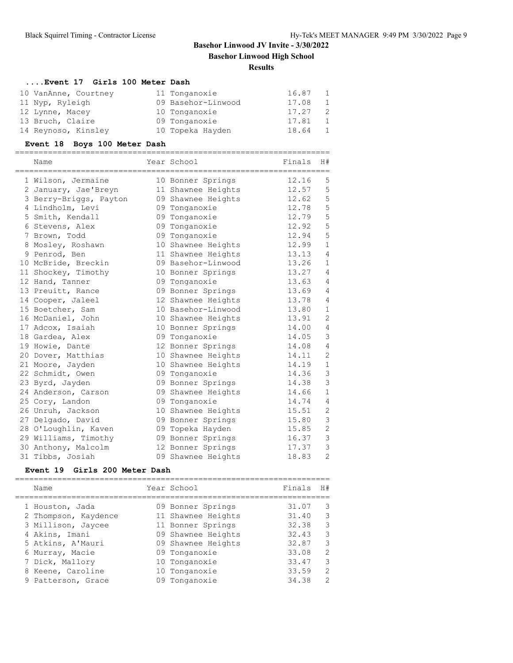# **Basehor Linwood JV Invite - 3/30/2022 Basehor Linwood High School Results**

# **....Event 17 Girls 100 Meter Dash**

| 10 VanAnne, Courtney | 11 Tonganoxie      | 16.87 | 1  |
|----------------------|--------------------|-------|----|
| 11 Nyp, Ryleigh      | 09 Basehor-Linwood | 17.08 | 1  |
| 12 Lynne, Macey      | 10 Tonganoxie      | 17.27 | -2 |
| 13 Bruch, Claire     | 09 Tonganoxie      | 17.81 | 1  |
| 14 Reynoso, Kinsley  | 10 Topeka Hayden   | 18.64 | 1  |

# **Event 18 Boys 100 Meter Dash**

| Name                   | Year School        | ======================<br>Finals | H#             |
|------------------------|--------------------|----------------------------------|----------------|
| 1 Wilson, Jermaine     | 10 Bonner Springs  | 12.16                            | 5              |
| 2 January, Jae'Breyn   | 11 Shawnee Heights | 12.57                            | 5              |
| 3 Berry-Briggs, Payton | 09 Shawnee Heights | 12.62                            | 5              |
| 4 Lindholm, Levi       | 09 Tonganoxie      | 12.78                            | 5              |
| 5 Smith, Kendall       | 09 Tonganoxie      | 12.79                            | 5              |
| 6 Stevens, Alex        | 09 Tonganoxie      | 12.92                            | 5              |
| 7 Brown, Todd          | 09 Tonganoxie      | 12.94                            | 5              |
| 8 Mosley, Roshawn      | 10 Shawnee Heights | 12.99                            | $\mathbf{1}$   |
| 9 Penrod, Ben          | 11 Shawnee Heights | 13.13                            | $\overline{4}$ |
| 10 McBride, Breckin    | 09 Basehor-Linwood | 13.26                            | $\mathbf{1}$   |
| 11 Shockey, Timothy    | 10 Bonner Springs  | 13.27                            | $\overline{4}$ |
| 12 Hand, Tanner        | 09 Tonganoxie      | 13.63                            | $\overline{4}$ |
| 13 Preuitt, Rance      | 09 Bonner Springs  | 13.69                            | $\overline{4}$ |
| 14 Cooper, Jaleel      | 12 Shawnee Heights | 13.78                            | $\overline{4}$ |
| 15 Boetcher, Sam       | 10 Basehor-Linwood | 13.80                            | $\mathbf{1}$   |
| 16 McDaniel, John      | 10 Shawnee Heights | 13.91                            | $\overline{c}$ |
| 17 Adcox, Isaiah       | 10 Bonner Springs  | 14.00                            | 4              |
| 18 Gardea, Alex        | 09 Tonganoxie      | 14.05                            | 3              |
| 19 Howie, Dante        | 12 Bonner Springs  | 14.08                            | $\overline{4}$ |
| 20 Dover, Matthias     | 10 Shawnee Heights | 14.11                            | $\mathbf{2}$   |
| 21 Moore, Jayden       | 10 Shawnee Heights | 14.19                            | $1\,$          |
| 22 Schmidt, Owen       | 09 Tonganoxie      | 14.36                            | 3              |
| 23 Byrd, Jayden        | 09 Bonner Springs  | 14.38                            | 3              |
| 24 Anderson, Carson    | 09 Shawnee Heights | 14.66                            | $\mathbf{1}$   |
| 25 Cory, Landon        | 09 Tonganoxie      | 14.74                            | $\overline{4}$ |
| 26 Unruh, Jackson      | 10 Shawnee Heights | 15.51                            | $\overline{c}$ |
| 27 Delgado, David      | 09 Bonner Springs  | 15.80                            | 3              |
| 28 O'Loughlin, Kaven   | 09 Topeka Hayden   | 15.85                            | $\overline{2}$ |
| 29 Williams, Timothy   | 09 Bonner Springs  | 16.37                            | 3              |
| 30 Anthony, Malcolm    | 12 Bonner Springs  | 17.37                            | 3              |
| 31 Tibbs, Josiah       | 09 Shawnee Heights | 18.83                            | $\overline{2}$ |

## **Event 19 Girls 200 Meter Dash**

|  | Name                 |    | Year School        | Finals | H#             |
|--|----------------------|----|--------------------|--------|----------------|
|  | 1 Houston, Jada      |    | 09 Bonner Springs  | 31.07  | 3              |
|  | 2 Thompson, Kaydence |    | 11 Shawnee Heights | 31.40  | 3              |
|  | 3 Millison, Jaycee   |    | 11 Bonner Springs  | 32.38  | 3              |
|  | 4 Akins, Imani       |    | 09 Shawnee Heights | 32.43  | 3              |
|  | 5 Atkins, A'Mauri    |    | 09 Shawnee Heights | 32.87  | 3              |
|  | 6 Murray, Macie      |    | 09 Tonganoxie      | 33.08  | $\overline{2}$ |
|  | 7 Dick, Mallory      |    | 10 Tonganoxie      | 33.47  | 3              |
|  | 8 Keene, Caroline    |    | 10 Tonganoxie      | 33.59  | $\overline{2}$ |
|  | 9 Patterson, Grace   | 09 | Tonganoxie         | 34.38  | $\mathcal{L}$  |
|  |                      |    |                    |        |                |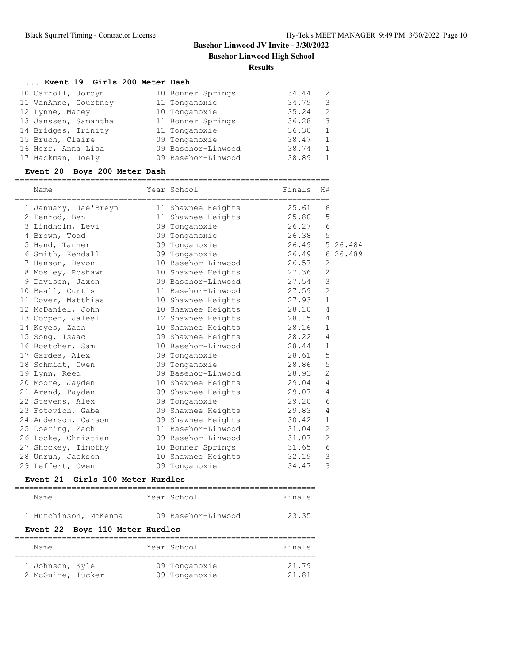# **Basehor Linwood JV Invite - 3/30/2022 Basehor Linwood High School**

#### **Results**

#### **....Event 19 Girls 200 Meter Dash**

| 10 Carroll, Jordyn   | 10 Bonner Springs  | 34.44 | -2             |
|----------------------|--------------------|-------|----------------|
| 11 VanAnne, Courtney | 11 Tonganoxie      | 34.79 | 3              |
| 12 Lynne, Macey      | 10 Tonganoxie      | 35.24 | 2              |
| 13 Janssen, Samantha | 11 Bonner Springs  | 36.28 | 3              |
| 14 Bridges, Trinity  | 11 Tonganoxie      | 36.30 | 1              |
| 15 Bruch, Claire     | 09 Tonganoxie      | 38.47 | 1              |
| 16 Herr, Anna Lisa   | 09 Basehor-Linwood | 38.74 | $\overline{1}$ |
| 17 Hackman, Joely    | 09 Basehor-Linwood | 38.89 | 1              |

## **Event 20 Boys 200 Meter Dash**

| Name                 | Year School              | <b>Example 19</b> Finals | H#             |  |
|----------------------|--------------------------|--------------------------|----------------|--|
| 1 January, Jae'Breyn | 11 Shawnee Heights       | 25.61                    | 6              |  |
| 2 Penrod, Ben        | 11 Shawnee Heights 25.80 |                          | 5              |  |
| 3 Lindholm, Levi     | 09 Tonganoxie            | 26.27                    | 6              |  |
| 4 Brown, Todd        | 09 Tonganoxie            | 26.38                    | 5              |  |
| 5 Hand, Tanner       |                          |                          |                |  |
| 6 Smith, Kendall     | 09 Tonganoxie            | 26.49 6 26.489           |                |  |
| 7 Hanson, Devon      | 10 Basehor-Linwood       | 26.57                    | 2              |  |
| 8 Mosley, Roshawn    | 10 Shawnee Heights 27.36 |                          | $\overline{2}$ |  |
| 9 Davison, Jaxon     | 09 Basehor-Linwood       | 27.54                    | 3              |  |
| 10 Beall, Curtis     | 11 Basehor-Linwood       | 27.59                    | $\overline{2}$ |  |
| 11 Dover, Matthias   | 10 Shawnee Heights 27.93 |                          | $\mathbf{1}$   |  |
| 12 McDaniel, John    | 10 Shawnee Heights       | 28.10                    | $\overline{4}$ |  |
| 13 Cooper, Jaleel    | 12 Shawnee Heights       | 28.15                    | $\overline{4}$ |  |
| 14 Keyes, Zach       | 10 Shawnee Heights 28.16 |                          | $\mathbf{1}$   |  |
| 15 Song, Isaac       | 09 Shawnee Heights       | 28.22                    | $\overline{4}$ |  |
| 16 Boetcher, Sam     | 10 Basehor-Linwood 28.44 |                          | $\mathbf{1}$   |  |
| 17 Gardea, Alex      | 09 Tonganoxie            | 28.61                    | 5              |  |
| 18 Schmidt, Owen     | 09 Tonganoxie            | 28.86                    | 5              |  |
| 19 Lynn, Reed        | 09 Basehor-Linwood 28.93 |                          | $\overline{2}$ |  |
| 20 Moore, Jayden     | 10 Shawnee Heights       | 29.04                    | $\overline{4}$ |  |
| 21 Arend, Payden     | 09 Shawnee Heights       | 29.07                    | $\overline{4}$ |  |
| 22 Stevens, Alex     | 09 Tonganoxie            | 29.20                    | 6              |  |
| 23 Fotovich, Gabe    | 09 Shawnee Heights 29.83 |                          | $\overline{4}$ |  |
| 24 Anderson, Carson  | 09 Shawnee Heights       | 30.42                    | $\mathbf{1}$   |  |
| 25 Doering, Zach     | 11 Basehor-Linwood 31.04 |                          | 2              |  |
| 26 Locke, Christian  | 09 Basehor-Linwood       | 31.07                    | $\overline{2}$ |  |
| 27 Shockey, Timothy  | 10 Bonner Springs 31.65  |                          | 6              |  |
| 28 Unruh, Jackson    | 10 Shawnee Heights 32.19 |                          | 3              |  |
| 29 Leffert, Owen     | 09 Tonganoxie            | 34.47                    | 3              |  |

#### **Event 21 Girls 100 Meter Hurdles**

| Name                  |  | Year School        | Finals |
|-----------------------|--|--------------------|--------|
|                       |  |                    |        |
| 1 Hutchinson, McKenna |  | 09 Basehor-Linwood | 2335   |

## **Event 22 Boys 110 Meter Hurdles**

| Name              |  | Year School   | Finals |
|-------------------|--|---------------|--------|
| 1 Johnson, Kyle   |  | 09 Tonganoxie | 21.79  |
| 2 McGuire, Tucker |  | 09 Tonganoxie | 21.81  |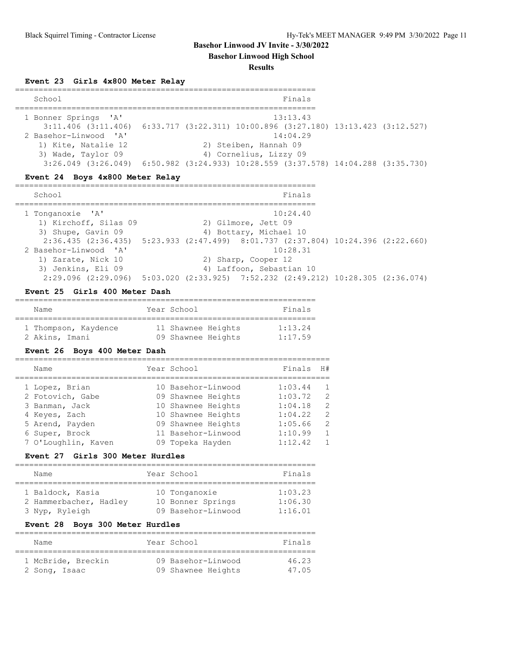**Basehor Linwood High School**

#### **Results**

## **Event 23 Girls 4x800 Meter Relay**

| School                  | Finals                                                          |
|-------------------------|-----------------------------------------------------------------|
| 1 Bonner Springs 'A'    | 13:13.43                                                        |
| $3:11.406$ $(3:11.406)$ | 6:33.717 (3:22.311) 10:00.896 (3:27.180) 13:13.423 (3:12.527)   |
| 2 Basehor-Linwood 'A'   | 14:04.29                                                        |
| 1) Kite, Natalie 12     | 2) Steiben, Hannah 09                                           |
| 3) Wade, Taylor 09      | 4) Cornelius, Lizzy 09                                          |
| $3:26.049$ $(3:26.049)$ | $6:50.982$ (3:24.933) 10:28.559 (3:37.578) 14:04.288 (3:35.730) |

## **Event 24 Boys 4x800 Meter Relay**

| School                                                                             |  |                                                                          | Finals |  |
|------------------------------------------------------------------------------------|--|--------------------------------------------------------------------------|--------|--|
| 1 Tonganoxie 'A'                                                                   |  | 10:24.40                                                                 |        |  |
| 1) Kirchoff, Silas 09                                                              |  | 2) Gilmore, Jett 09                                                      |        |  |
| 3) Shupe, Gavin 09                                                                 |  | 4) Bottary, Michael 10                                                   |        |  |
| $2:36.435$ (2:36.435) 5:23.933 (2:47.499) 8:01.737 (2:37.804) 10:24.396 (2:22.660) |  |                                                                          |        |  |
| 2 Basehor-Linwood 'A'                                                              |  | 10:28.31                                                                 |        |  |
| 1) Zarate, Nick 10                                                                 |  | 2) Sharp, Cooper 12                                                      |        |  |
| 3) Jenkins, Eli 09                                                                 |  | 4) Laffoon, Sebastian 10                                                 |        |  |
| $2:29.096$ $(2:29.096)$                                                            |  | $5:03.020$ $(2:33.925)$ $7:52.232$ $(2:49.212)$ $10:28.305$ $(2:36.074)$ |        |  |

## **Event 25 Girls 400 Meter Dash**

| Name                 |  | Year School        | Finals  |  |  |
|----------------------|--|--------------------|---------|--|--|
|                      |  |                    |         |  |  |
| 1 Thompson, Kaydence |  | 11 Shawnee Heights | 1:13.24 |  |  |
| 2 Akins, Imani       |  | 09 Shawnee Heights | 1:17.59 |  |  |

# **Event 26 Boys 400 Meter Dash**

| Name                | Year School        | Finals  | H#             |
|---------------------|--------------------|---------|----------------|
| 1 Lopez, Brian      | 10 Basehor-Linwood | 1:03.44 | $\overline{1}$ |
| 2 Fotovich, Gabe    | 09 Shawnee Heights | 1:03.72 | $\overline{2}$ |
| 3 Banman, Jack      | 10 Shawnee Heights | 1:04.18 | $\mathcal{L}$  |
| 4 Keyes, Zach       | 10 Shawnee Heights | 1:04.22 | $\overline{2}$ |
| 5 Arend, Payden     | 09 Shawnee Heights | 1:05.66 | -2             |
| 6 Super, Brock      | 11 Basehor-Linwood | 1:10.99 | $\mathbf{1}$   |
| 7 O'Loughlin, Kaven | 09 Topeka Hayden   | 1:12.42 | $\overline{1}$ |
|                     |                    |         |                |

## **Event 27 Girls 300 Meter Hurdles**

| Name                   | Year School        | Finals  |
|------------------------|--------------------|---------|
|                        |                    |         |
| 1 Baldock, Kasia       | 10 Tonganoxie      | 1:03.23 |
| 2 Hammerbacher, Hadley | 10 Bonner Springs  | 1:06.30 |
| 3 Nyp, Ryleigh         | 09 Basehor-Linwood | 1:16.01 |

## **Event 28 Boys 300 Meter Hurdles**

| Name               | Year School        | Finals |
|--------------------|--------------------|--------|
| 1 McBride, Breckin | 09 Basehor-Linwood | 46.23  |
| 2 Song, Isaac      | 09 Shawnee Heights | 47.05  |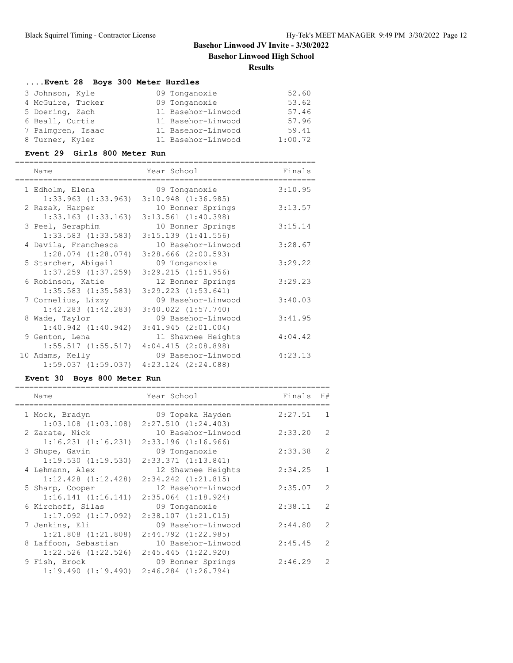# **Basehor Linwood JV Invite - 3/30/2022 Basehor Linwood High School Results**

# **....Event 28 Boys 300 Meter Hurdles**

| 3 Johnson, Kyle   | 09 Tonganoxie      | 52.60   |
|-------------------|--------------------|---------|
| 4 McGuire, Tucker | 09 Tonganoxie      | 53.62   |
| 5 Doering, Zach   | 11 Basehor-Linwood | 57.46   |
| 6 Beall, Curtis   | 11 Basehor-Linwood | 57.96   |
| 7 Palmgren, Isaac | 11 Basehor-Linwood | 59.41   |
| 8 Turner, Kyler   | 11 Basehor-Linwood | 1:00.72 |

#### **Event 29 Girls 800 Meter Run**

| Name                    | Year School                                     | Finals  |
|-------------------------|-------------------------------------------------|---------|
| 1 Edholm, Elena         | 09 Tonganoxie                                   | 3:10.95 |
| $1:33.963$ $(1:33.963)$ | $3:10.948$ $(1:36.985)$                         |         |
| 2 Razak, Harper         | 10 Bonner Springs                               | 3:13.57 |
| $1:33.163$ $(1:33.163)$ | $3:13.561$ $(1:40.398)$                         |         |
| 3 Peel, Seraphim        | 10 Bonner Springs                               | 3:15.14 |
| $1:33.583$ $(1:33.583)$ | $3:15.139$ $(1:41.556)$                         |         |
| 4 Davila, Franchesca    | 10 Basehor-Linwood                              | 3:28.67 |
| $1:28.074$ $(1:28.074)$ | $3:28.666$ $(2:00.593)$                         |         |
| 5 Starcher, Abigail     | 09 Tonganoxie                                   | 3:29.22 |
| $1:37.259$ $(1:37.259)$ | $3:29.215$ $(1:51.956)$                         |         |
| 6 Robinson, Katie       | 12 Bonner Springs                               | 3:29.23 |
| $1:35.583$ $(1:35.583)$ | $3:29.223$ $(1:53.641)$                         |         |
| 7 Cornelius, Lizzy      | 09 Basehor-Linwood                              | 3:40.03 |
| $1:42.283$ $(1:42.283)$ | $3:40.022$ $(1:57.740)$                         |         |
| 8 Wade, Taylor          | 09 Basehor-Linwood                              | 3:41.95 |
| $1:40.942$ $(1:40.942)$ | 3:41.945(2:01.004)                              |         |
| 9 Genton, Lena          | 11 Shawnee Heights                              | 4:04.42 |
|                         | $1:55.517$ $(1:55.517)$ $4:04.415$ $(2:08.898)$ |         |
| 10 Adams, Kelly         | 09 Basehor-Linwood                              | 4:23.13 |
| $1:59.037$ $(1:59.037)$ | $4:23.124$ $(2:24.088)$                         |         |

## **Event 30 Boys 800 Meter Run**

| Name                    | Year School             | Finals  | H#           |
|-------------------------|-------------------------|---------|--------------|
| 1 Mock, Bradyn          | 09 Topeka Hayden        | 2:27.51 | $\mathbf{1}$ |
| $1:03.108$ $(1:03.108)$ | 2:27.510(1:24.403)      |         |              |
| 2 Zarate, Nick          | 10 Basehor-Linwood      | 2:33.20 | 2            |
| $1:16.231$ $(1:16.231)$ | $2:33.196$ $(1:16.966)$ |         |              |
| 3 Shupe, Gavin          | 09 Tonganoxie           | 2:33.38 | 2            |
| 1:19.530(1:19.530)      | $2:33.371$ $(1:13.841)$ |         |              |
| 4 Lehmann, Alex         | 12 Shawnee Heights      | 2:34.25 | $\mathbf{1}$ |
| $1:12.428$ $(1:12.428)$ | $2:34.242$ $(1:21.815)$ |         |              |
| 5 Sharp, Cooper         | 12 Basehor-Linwood      | 2:35.07 | 2            |
| 1:16.141(1:16.141)      | $2:35.064$ $(1:18.924)$ |         |              |
| 6 Kirchoff, Silas       | 09 Tonganoxie           | 2:38.11 | 2            |
| $1:17.092$ $(1:17.092)$ | $2:38.107$ $(1:21.015)$ |         |              |
| 7 Jenkins, Eli          | 09 Basehor-Linwood      | 2:44.80 | 2            |
| $1:21.808$ $(1:21.808)$ | $2:44.792$ $(1:22.985)$ |         |              |
| 8 Laffoon, Sebastian    | 10 Basehor-Linwood      | 2:45.45 | 2            |
| $1:22.526$ $(1:22.526)$ | 2:45.445(1:22.920)      |         |              |
| 9 Fish, Brock           | 09 Bonner Springs       | 2:46.29 | 2            |
| 1:19.490(1:19.490)      | $2:46.284$ $(1:26.794)$ |         |              |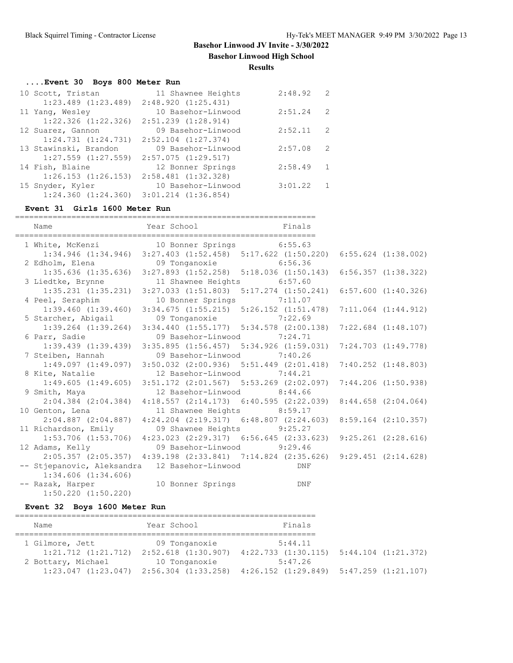**Basehor Linwood High School**

**Results**

# **....Event 30 Boys 800 Meter Run**

| 10 Scott, Tristan                               | 11 Shawnee Heights      | 2:48.92 | 2 |
|-------------------------------------------------|-------------------------|---------|---|
| $1:23.489$ $(1:23.489)$ $2:48.920$ $(1:25.431)$ |                         |         |   |
| 11 Yang, Wesley                                 | 10 Basehor-Linwood      | 2:51.24 | 2 |
| $1:22.326$ $(1:22.326)$                         | $2:51.239$ $(1:28.914)$ |         |   |
| 12 Suarez, Gannon                               | 09 Basehor-Linwood      | 2:52.11 | 2 |
| 1:24.731(1:24.731)                              | $2:52.104$ $(1:27.374)$ |         |   |
| 13 Stawinski, Brandon                           | 09 Basehor-Linwood      | 2:57.08 | 2 |
| $1:27.559$ $(1:27.559)$                         | $2:57.075$ $(1:29.517)$ |         |   |
| 14 Fish, Blaine                                 | 12 Bonner Springs       | 2:58.49 | 1 |
| $1:26.153$ $(1:26.153)$                         | $2:58.481$ $(1:32.328)$ |         |   |
| 15 Snyder, Kyler                                | 10 Basehor-Linwood      | 3:01.22 |   |
| $1:24.360$ $(1:24.360)$                         | $3:01.214$ $(1:36.854)$ |         |   |

#### **Event 31 Girls 1600 Meter Run**

| Name                                              | Year School Finals                                                                              |     |  |
|---------------------------------------------------|-------------------------------------------------------------------------------------------------|-----|--|
| 1 White, McKenzi 10 Bonner Springs 6:55.63        |                                                                                                 |     |  |
|                                                   | 1:34.946 (1:34.946) 3:27.403 (1:52.458) 5:17.622 (1:50.220) 6:55.624 (1:38.002)                 |     |  |
| 2 Edholm, Elena (19 Tonganoxie 19 6:56.36         |                                                                                                 |     |  |
|                                                   | 1:35.636 (1:35.636) 3:27.893 (1:52.258) 5:18.036 (1:50.143) 6:56.357 (1:38.322)                 |     |  |
| 3 Liedtke, Brynne 11 Shawnee Heights 6:57.60      |                                                                                                 |     |  |
|                                                   | $1:35.231$ $(1:35.231)$ $3:27.033$ $(1:51.803)$ $5:17.274$ $(1:50.241)$ $6:57.600$ $(1:40.326)$ |     |  |
| 4 Peel, Seraphim 10 Bonner Springs 7:11.07        |                                                                                                 |     |  |
|                                                   | 1:39.460 (1:39.460) 3:34.675 (1:55.215) 5:26.152 (1:51.478) 7:11.064 (1:44.912)                 |     |  |
| 5 Starcher, Abigail 09 Tonganoxie 7:22.69         |                                                                                                 |     |  |
|                                                   | 1:39.264 (1:39.264) 3:34.440 (1:55.177) 5:34.578 (2:00.138) 7:22.684 (1:48.107)                 |     |  |
| 6 Parr, Sadie                                     | 09 Basehor-Linwood 7:24.71                                                                      |     |  |
|                                                   | 1:39.439 (1:39.439) 3:35.895 (1:56.457) 5:34.926 (1:59.031) 7:24.703 (1:49.778)                 |     |  |
| 7 Steiben, Hannah                                 | 09 Basehor-Linwood 7:40.26                                                                      |     |  |
|                                                   | 1:49.097 (1:49.097) 3:50.032 (2:00.936) 5:51.449 (2:01.418) 7:40.252 (1:48.803)                 |     |  |
| 8 Kite, Natalie 12 Basehor-Linwood 7:44.21        |                                                                                                 |     |  |
|                                                   | 1:49.605 (1:49.605) 3:51.172 (2:01.567) 5:53.269 (2:02.097) 7:44.206 (1:50.938)                 |     |  |
| 9 Smith, Maya $12$ Basehor-Linwood 8:44.66        |                                                                                                 |     |  |
|                                                   | 2:04.384 (2:04.384) 4:18.557 (2:14.173) 6:40.595 (2:22.039) 8:44.658 (2:04.064)                 |     |  |
| 10 Genton, Lena 11 Shawnee Heights 8:59.17        |                                                                                                 |     |  |
|                                                   | 2:04.887 (2:04.887) 4:24.204 (2:19.317) 6:48.807 (2:24.603) 8:59.164 (2:10.357)                 |     |  |
| 11 Richardson, Emily 09 Shawnee Heights 9:25.27   |                                                                                                 |     |  |
|                                                   | 1:53.706 (1:53.706) 4:23.023 (2:29.317) 6:56.645 (2:33.623) 9:25.261 (2:28.616)                 |     |  |
| 12 Adams, Kelly 69 Basehor-Linwood 9:29.46        |                                                                                                 |     |  |
|                                                   | 2:05.357 (2:05.357) 4:39.198 (2:33.841) 7:14.824 (2:35.626) 9:29.451 (2:14.628)                 |     |  |
| -- Stjepanovic, Aleksandra 12 Basehor-Linwood DNF |                                                                                                 |     |  |
| $1:34.606$ $(1:34.606)$                           |                                                                                                 |     |  |
| -- Razak, Harper 10 Bonner Springs                |                                                                                                 | DNF |  |
| $1:50.220$ $(1:50.220)$                           |                                                                                                 |     |  |

# **Event 32 Boys 1600 Meter Run**

| Name                    | Year School                                     | Finals                  |                         |
|-------------------------|-------------------------------------------------|-------------------------|-------------------------|
|                         |                                                 |                         |                         |
| 1 Gilmore, Jett         | 09 Tonganoxie                                   | 5:44.11                 |                         |
| $1:21.712$ $(1:21.712)$ | $2:52.618$ $(1:30.907)$                         | $4:22.733$ $(1:30.115)$ | $5:44.104$ $(1:21.372)$ |
| 2 Bottary, Michael      | 10 Tonganoxie                                   | 5:47.26                 |                         |
|                         | $1:23.047$ $(1:23.047)$ $2:56.304$ $(1:33.258)$ | 4:26.152 (1:29.849)     | 5:47.259(1:21.107)      |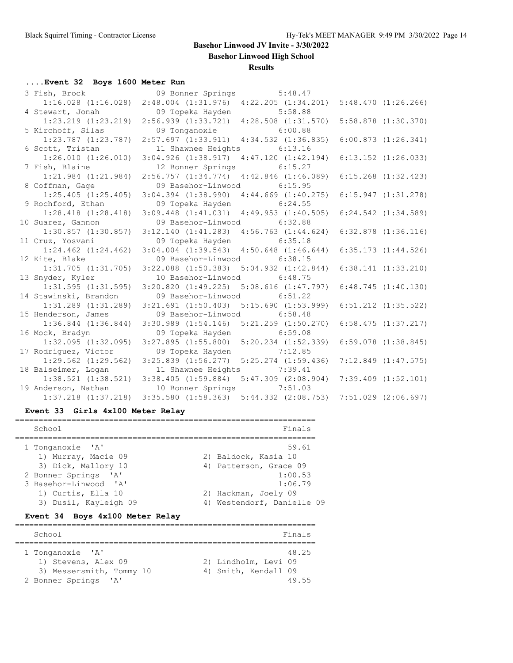**Basehor Linwood High School**

#### **Results**

# **....Event 32 Boys 1600 Meter Run**

| 3 Fish, Brock           | 09 Bonner Springs 5:48.47                       |                         |                         |
|-------------------------|-------------------------------------------------|-------------------------|-------------------------|
| $1:16.028$ $(1:16.028)$ | $2:48.004$ $(1:31.976)$                         | $4:22.205$ $(1:34.201)$ | 5:48.470(1:26.266)      |
| 4 Stewart, Jonah        | 09 Topeka Hayden                                | 5:58.88                 |                         |
| $1:23.219$ $(1:23.219)$ | $2:56.939$ $(1:33.721)$ $4:28.508$ $(1:31.570)$ |                         | $5:58.878$ $(1:30.370)$ |
| 5 Kirchoff, Silas       | 09 Tonganoxie                                   | 6:00.88                 |                         |
| $1:23.787$ $(1:23.787)$ | $2:57.697$ $(1:33.911)$ $4:34.532$ $(1:36.835)$ |                         | 6:00.873(1:26.341)      |
| 6 Scott, Tristan        | 11 Shawnee Heights                              | 6:13.16                 |                         |
| $1:26.010$ $(1:26.010)$ | $3:04.926$ $(1:38.917)$                         | 4:47.120(1:42.194)      | $6:13.152$ $(1:26.033)$ |
| 7 Fish, Blaine          | 12 Bonner Springs                               | 6:15.27                 |                         |
| $1:21.984$ $(1:21.984)$ | $2:56.757$ $(1:34.774)$                         | $4:42.846$ $(1:46.089)$ | $6:15.268$ $(1:32.423)$ |
| 8 Coffman, Gage         | 09 Basehor-Linwood 6:15.95                      |                         |                         |
| $1:25.405$ $(1:25.405)$ | $3:04.394$ $(1:38.990)$                         | $4:44.669$ $(1:40.275)$ | 6:15.947(1:31.278)      |
| 9 Rochford, Ethan       | 09 Topeka Hayden                                | 6:24.55                 |                         |
| $1:28.418$ $(1:28.418)$ | $3:09.448$ $(1:41.031)$                         | $4:49.953$ $(1:40.505)$ | $6:24.542$ $(1:34.589)$ |
| 10 Suarez, Gannon       | 09 Basehor-Linwood 6:32.88                      |                         |                         |
| $1:30.857$ $(1:30.857)$ | $3:12.140$ $(1:41.283)$ $4:56.763$ $(1:44.624)$ |                         | $6:32.878$ $(1:36.116)$ |
| 11 Cruz, Yosvani        | 09 Topeka Hayden                                | 6:35.18                 |                         |
| $1:24.462$ $(1:24.462)$ | $3:04.004$ $(1:39.543)$ $4:50.648$ $(1:46.644)$ |                         | $6:35.173$ $(1:44.526)$ |
| 12 Kite, Blake          | 09 Basehor-Linwood                              | 6:38.15                 |                         |
| $1:31.705$ $(1:31.705)$ | $3:22.088$ $(1:50.383)$ $5:04.932$ $(1:42.844)$ |                         | $6:38.141$ $(1:33.210)$ |
| 13 Snyder, Kyler        | 10 Basehor-Linwood 6:48.75                      |                         |                         |
| $1:31.595$ $(1:31.595)$ | $3:20.820$ $(1:49.225)$ $5:08.616$ $(1:47.797)$ |                         | 6:48.745(1:40.130)      |
| 14 Stawinski, Brandon   | 09 Basehor-Linwood                              | 6:51.22                 |                         |
| 1:31.289 (1:31.289)     | $3:21.691$ $(1:50.403)$ $5:15.690$ $(1:53.999)$ |                         | $6:51.212$ $(1:35.522)$ |
| 15 Henderson, James     | 09 Basehor-Linwood                              | 6:58.48                 |                         |
| $1:36.844$ $(1:36.844)$ | $3:30.989$ $(1:54.146)$ $5:21.259$ $(1:50.270)$ |                         | $6:58.475$ $(1:37.217)$ |
| 16 Mock, Bradyn         | 09 Topeka Hayden                                | 6:59.08                 |                         |
| $1:32.095$ $(1:32.095)$ | 3:27.895(1:55.800)                              | $5:20.234$ $(1:52.339)$ | $6:59.078$ $(1:38.845)$ |
| 17 Rodriguez, Victor    | 09 Topeka Hayden                                | 7:12.85                 |                         |
| $1:29.562$ $(1:29.562)$ | $3:25.839$ $(1:56.277)$ $5:25.274$ $(1:59.436)$ |                         | $7:12.849$ $(1:47.575)$ |
| 18 Balseimer, Logan     | 11 Shawnee Heights                              | 7:39.41                 |                         |
| $1:38.521$ $(1:38.521)$ | $3:38.405$ $(1:59.884)$                         | $5:47.309$ $(2:08.904)$ | $7:39.409$ $(1:52.101)$ |
| 19 Anderson, Nathan     | 10 Bonner Springs                               | 7:51.03                 |                         |
| $1:37.218$ $(1:37.218)$ | $3:35.580$ $(1:58.363)$                         | $5:44.332$ $(2:08.753)$ | $7:51.029$ $(2:06.697)$ |

## **Event 33 Girls 4x100 Meter Relay**

| School                | Finals                     |
|-----------------------|----------------------------|
| 1 Tonganoxie 'A'      | 59.61                      |
| 1) Murray, Macie 09   | 2) Baldock, Kasia 10       |
| 3) Dick, Mallory 10   | 4) Patterson, Grace 09     |
| 2 Bonner Springs 'A'  | 1:00.53                    |
| 3 Basehor-Linwood 'A' | 1:06.79                    |
| 1) Curtis, Ella 10    | 2) Hackman, Joely 09       |
| 3) Dusil, Kayleigh 09 | 4) Westendorf, Danielle 09 |
|                       |                            |

# **Event 34 Boys 4x100 Meter Relay**

| School                                                                                      | Finals                                                         |
|---------------------------------------------------------------------------------------------|----------------------------------------------------------------|
| 1 Tonganoxie 'A'<br>1) Stevens, Alex 09<br>3) Messersmith, Tommy 10<br>2 Bonner Springs 'A' | 48.25<br>2) Lindholm, Levi 09<br>4) Smith, Kendall 09<br>49 55 |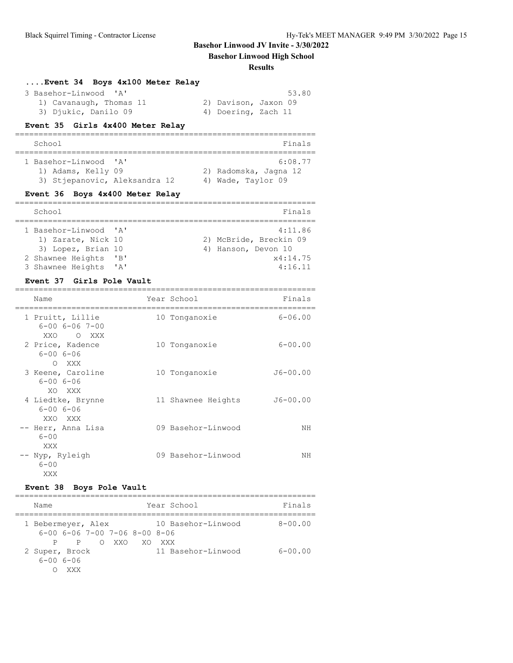## **Basehor Linwood High School**

#### **Results**

===============================

| Event 34 Boys 4x100 Meter Relay |                      |
|---------------------------------|----------------------|
| 3 Basehor-Linwood 'A'           | 53.80                |
| 1) Cavanaugh, Thomas 11         | 2) Davison, Jaxon 09 |
| 3) Djukic, Danilo 09            | 4) Doering, Zach 11  |

#### **Event 35 Girls 4x400 Meter Relay**

| School                                                                       |  | Finals                                                 |
|------------------------------------------------------------------------------|--|--------------------------------------------------------|
| 1 Basehor-Linwood 'A'<br>1) Adams, Kelly 09<br>3) Stiepanovic, Aleksandra 12 |  | 6:08.77<br>2) Radomska, Jagna 12<br>4) Wade, Taylor 09 |

# **Event 36 Boys 4x400 Meter Relay**

| School                |              | Finals                 |
|-----------------------|--------------|------------------------|
|                       |              |                        |
| 1 Basehor-Linwood 'A' |              | 4:11.86                |
| 1) Zarate, Nick 10    |              | 2) McBride, Breckin 09 |
| 3) Lopez, Brian 10    |              | 4) Hanson, Devon 10    |
| 2 Shawnee Heights     | "B"          | x4:14.75               |
| 3 Shawnee Heights     | $\mathsf{A}$ | 4:16.11                |

#### **Event 37 Girls Pole Vault**

| Name                                                       | Year School        | Finals       |
|------------------------------------------------------------|--------------------|--------------|
| 1 Pruitt, Lillie<br>$6 - 00$ $6 - 06$ $7 - 00$<br>XXO OXXX | 10 Tonganoxie      | $6 - 06.00$  |
| 2 Price, Kadence<br>$6 - 006 - 06$<br>O XXX                | 10 Tonganoxie      | $6 - 00.00$  |
| 3 Keene, Caroline<br>$6 - 006 - 06$<br>XO XXX              | 10 Tonganoxie      | $J6 - 00.00$ |
| 4 Liedtke, Brynne<br>$6 - 006 - 06$<br>XXO XXX             | 11 Shawnee Heights | $J6 - 00.00$ |
| -- Herr, Anna Lisa<br>$6 - 00$<br>XXX                      | 09 Basehor-Linwood | NΗ           |
| -- Nyp, Ryleigh<br>$6 - 00$<br>XXX                         | 09 Basehor-Linwood | NΗ           |

## **Event 38 Boys Pole Vault**

| Name               |                                           |       |     | Year School        | Finals      |
|--------------------|-------------------------------------------|-------|-----|--------------------|-------------|
| 1 Bebermeyer, Alex |                                           |       |     | 10 Basehor-Linwood | $8 - 00.00$ |
|                    | $6-00$ $6-06$ $7-00$ $7-06$ $8-00$ $8-06$ |       |     |                    |             |
| P.                 | P.                                        | O XXO | XO. | XXX X              |             |
| 2 Super, Brock     |                                           |       |     | 11 Basehor-Linwood | $6 - 00.00$ |
| $6 - 006 - 06$     |                                           |       |     |                    |             |
|                    |                                           |       |     |                    |             |